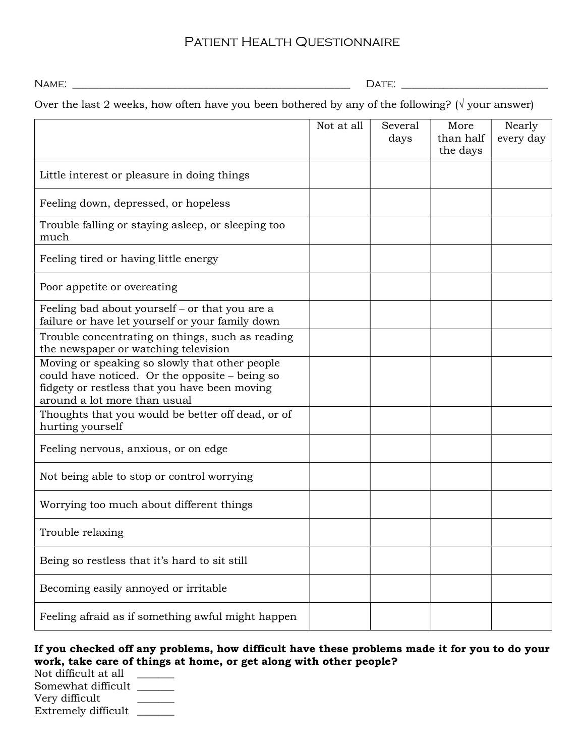# Patient Health Questionnaire

Name: \_\_\_\_\_\_\_\_\_\_\_\_\_\_\_\_\_\_\_\_\_\_\_\_\_\_\_\_\_\_\_\_\_\_\_\_\_\_\_\_\_\_\_\_\_\_\_\_\_\_\_\_\_ Date: \_\_\_\_\_\_\_\_\_\_\_\_\_\_\_\_\_\_\_\_\_\_\_\_\_\_\_\_

Over the last 2 weeks, how often have you been bothered by any of the following? ( $\sqrt{}$  your answer)

|                                                                                                                                                                                   | Not at all | Several<br>days | More<br>than half<br>the days | Nearly<br>every day |
|-----------------------------------------------------------------------------------------------------------------------------------------------------------------------------------|------------|-----------------|-------------------------------|---------------------|
| Little interest or pleasure in doing things                                                                                                                                       |            |                 |                               |                     |
| Feeling down, depressed, or hopeless                                                                                                                                              |            |                 |                               |                     |
| Trouble falling or staying asleep, or sleeping too<br>much                                                                                                                        |            |                 |                               |                     |
| Feeling tired or having little energy                                                                                                                                             |            |                 |                               |                     |
| Poor appetite or overeating                                                                                                                                                       |            |                 |                               |                     |
| Feeling bad about yourself – or that you are a<br>failure or have let yourself or your family down                                                                                |            |                 |                               |                     |
| Trouble concentrating on things, such as reading<br>the newspaper or watching television                                                                                          |            |                 |                               |                     |
| Moving or speaking so slowly that other people<br>could have noticed. Or the opposite - being so<br>fidgety or restless that you have been moving<br>around a lot more than usual |            |                 |                               |                     |
| Thoughts that you would be better off dead, or of<br>hurting yourself                                                                                                             |            |                 |                               |                     |
| Feeling nervous, anxious, or on edge                                                                                                                                              |            |                 |                               |                     |
| Not being able to stop or control worrying                                                                                                                                        |            |                 |                               |                     |
| Worrying too much about different things                                                                                                                                          |            |                 |                               |                     |
| Trouble relaxing                                                                                                                                                                  |            |                 |                               |                     |
| Being so restless that it's hard to sit still                                                                                                                                     |            |                 |                               |                     |
| Becoming easily annoyed or irritable                                                                                                                                              |            |                 |                               |                     |
| Feeling afraid as if something awful might happen                                                                                                                                 |            |                 |                               |                     |

#### If you checked off any problems, how difficult have these problems made it for you to do your work, take care of things at home, or get along with other people?

Not difficult at all \_\_\_\_\_\_ Somewhat difficult \_\_\_\_\_\_\_ Very difficult Extremely difficult \_\_\_\_\_\_\_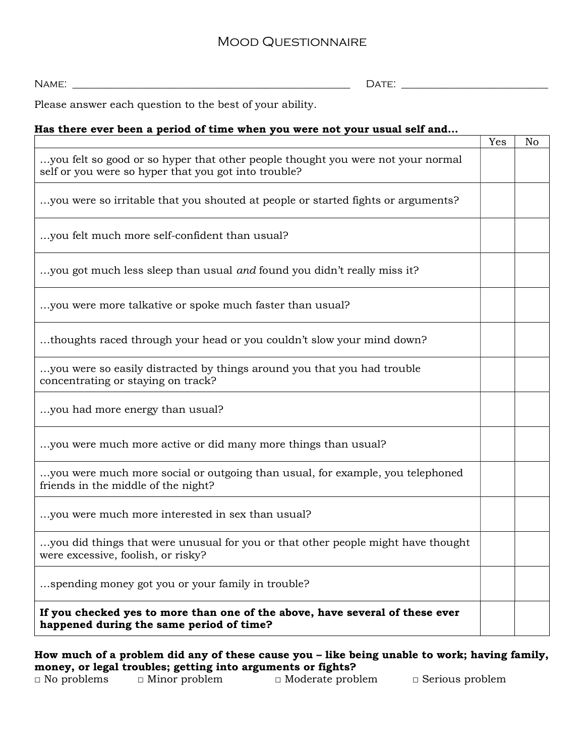## Mood Questionnaire

Name: \_\_\_\_\_\_\_\_\_\_\_\_\_\_\_\_\_\_\_\_\_\_\_\_\_\_\_\_\_\_\_\_\_\_\_\_\_\_\_\_\_\_\_\_\_\_\_\_\_\_\_\_\_ Date: \_\_\_\_\_\_\_\_\_\_\_\_\_\_\_\_\_\_\_\_\_\_\_\_\_\_\_\_

Please answer each question to the best of your ability.

#### Has there ever been a period of time when you were not your usual self and…

|                                                                                                                                         | Yes | No |
|-----------------------------------------------------------------------------------------------------------------------------------------|-----|----|
| you felt so good or so hyper that other people thought you were not your normal<br>self or you were so hyper that you got into trouble? |     |    |
| you were so irritable that you shouted at people or started fights or arguments?                                                        |     |    |
| you felt much more self-confident than usual?                                                                                           |     |    |
| you got much less sleep than usual and found you didn't really miss it?                                                                 |     |    |
| you were more talkative or spoke much faster than usual?                                                                                |     |    |
| thoughts raced through your head or you couldn't slow your mind down?                                                                   |     |    |
| you were so easily distracted by things around you that you had trouble.<br>concentrating or staying on track?                          |     |    |
| you had more energy than usual?                                                                                                         |     |    |
| you were much more active or did many more things than usual?                                                                           |     |    |
| you were much more social or outgoing than usual, for example, you telephoned<br>friends in the middle of the night?                    |     |    |
| you were much more interested in sex than usual?                                                                                        |     |    |
| you did things that were unusual for you or that other people might have thought<br>were excessive, foolish, or risky?                  |     |    |
| spending money got you or your family in trouble?                                                                                       |     |    |
| If you checked yes to more than one of the above, have several of these ever<br>happened during the same period of time?                |     |    |

How much of a problem did any of these cause you – like being unable to work; having family, money, or legal troubles; getting into arguments or fights?

□ No problems □ Minor problem □ Moderate problem □ Serious problem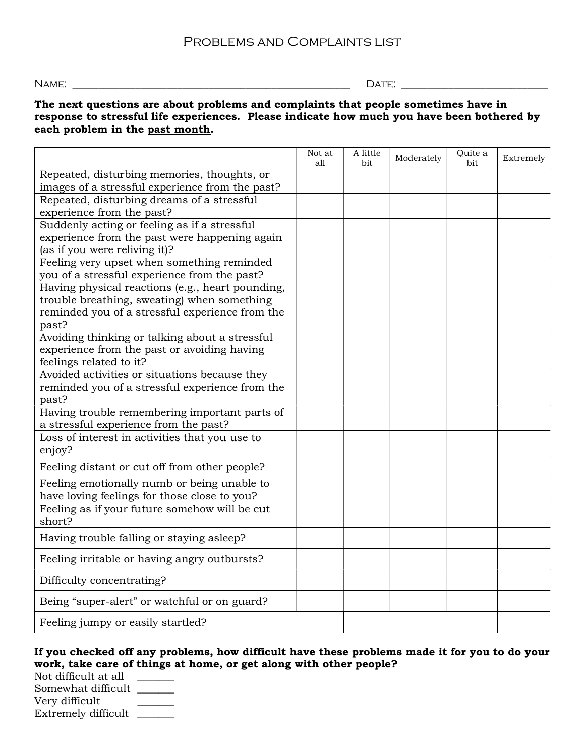Name: \_\_\_\_\_\_\_\_\_\_\_\_\_\_\_\_\_\_\_\_\_\_\_\_\_\_\_\_\_\_\_\_\_\_\_\_\_\_\_\_\_\_\_\_\_\_\_\_\_\_\_\_\_ Date: \_\_\_\_\_\_\_\_\_\_\_\_\_\_\_\_\_\_\_\_\_\_\_\_\_\_\_\_

#### The next questions are about problems and complaints that people sometimes have in response to stressful life experiences. Please indicate how much you have been bothered by each problem in the past month.

|                                                                          | Not at<br>all | A little<br>bit | Moderately | Quite a<br>bit | Extremely |
|--------------------------------------------------------------------------|---------------|-----------------|------------|----------------|-----------|
| Repeated, disturbing memories, thoughts, or                              |               |                 |            |                |           |
| images of a stressful experience from the past?                          |               |                 |            |                |           |
| Repeated, disturbing dreams of a stressful                               |               |                 |            |                |           |
| experience from the past?                                                |               |                 |            |                |           |
| Suddenly acting or feeling as if a stressful                             |               |                 |            |                |           |
| experience from the past were happening again                            |               |                 |            |                |           |
| (as if you were reliving it)?                                            |               |                 |            |                |           |
| Feeling very upset when something reminded                               |               |                 |            |                |           |
| you of a stressful experience from the past?                             |               |                 |            |                |           |
| Having physical reactions (e.g., heart pounding,                         |               |                 |            |                |           |
| trouble breathing, sweating) when something                              |               |                 |            |                |           |
| reminded you of a stressful experience from the                          |               |                 |            |                |           |
| past?                                                                    |               |                 |            |                |           |
| Avoiding thinking or talking about a stressful                           |               |                 |            |                |           |
| experience from the past or avoiding having                              |               |                 |            |                |           |
| feelings related to it?<br>Avoided activities or situations because they |               |                 |            |                |           |
| reminded you of a stressful experience from the                          |               |                 |            |                |           |
| past?                                                                    |               |                 |            |                |           |
| Having trouble remembering important parts of                            |               |                 |            |                |           |
| a stressful experience from the past?                                    |               |                 |            |                |           |
| Loss of interest in activities that you use to                           |               |                 |            |                |           |
| enjoy?                                                                   |               |                 |            |                |           |
| Feeling distant or cut off from other people?                            |               |                 |            |                |           |
| Feeling emotionally numb or being unable to                              |               |                 |            |                |           |
| have loving feelings for those close to you?                             |               |                 |            |                |           |
| Feeling as if your future somehow will be cut                            |               |                 |            |                |           |
| short?                                                                   |               |                 |            |                |           |
| Having trouble falling or staying asleep?                                |               |                 |            |                |           |
| Feeling irritable or having angry outbursts?                             |               |                 |            |                |           |
| Difficulty concentrating?                                                |               |                 |            |                |           |
| Being "super-alert" or watchful or on guard?                             |               |                 |            |                |           |
| Feeling jumpy or easily startled?                                        |               |                 |            |                |           |

### If you checked off any problems, how difficult have these problems made it for you to do your work, take care of things at home, or get along with other people?

Not difficult at all \_\_\_\_\_\_\_ Somewhat difficult \_\_\_\_\_\_\_ Very difficult \_\_\_\_\_\_\_ Extremely difficult \_\_\_\_\_\_\_